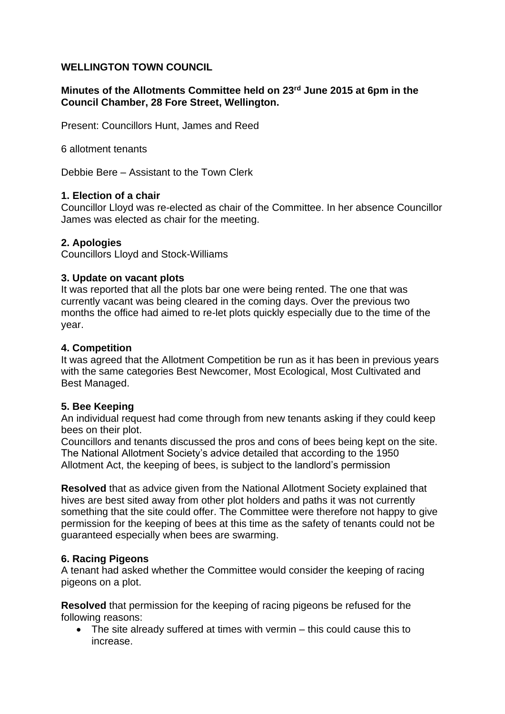# **WELLINGTON TOWN COUNCIL**

### **Minutes of the Allotments Committee held on 23rd June 2015 at 6pm in the Council Chamber, 28 Fore Street, Wellington.**

Present: Councillors Hunt, James and Reed

6 allotment tenants

Debbie Bere – Assistant to the Town Clerk

### **1. Election of a chair**

Councillor Lloyd was re-elected as chair of the Committee. In her absence Councillor James was elected as chair for the meeting.

### **2. Apologies**

Councillors Lloyd and Stock-Williams

#### **3. Update on vacant plots**

It was reported that all the plots bar one were being rented. The one that was currently vacant was being cleared in the coming days. Over the previous two months the office had aimed to re-let plots quickly especially due to the time of the year.

#### **4. Competition**

It was agreed that the Allotment Competition be run as it has been in previous years with the same categories Best Newcomer, Most Ecological, Most Cultivated and Best Managed.

### **5. Bee Keeping**

An individual request had come through from new tenants asking if they could keep bees on their plot.

Councillors and tenants discussed the pros and cons of bees being kept on the site. The National Allotment Society's advice detailed that according to the 1950 Allotment Act, the keeping of bees, is subject to the landlord's permission

**Resolved** that as advice given from the National Allotment Society explained that hives are best sited away from other plot holders and paths it was not currently something that the site could offer. The Committee were therefore not happy to give permission for the keeping of bees at this time as the safety of tenants could not be guaranteed especially when bees are swarming.

### **6. Racing Pigeons**

A tenant had asked whether the Committee would consider the keeping of racing pigeons on a plot.

**Resolved** that permission for the keeping of racing pigeons be refused for the following reasons:

• The site already suffered at times with vermin – this could cause this to increase.